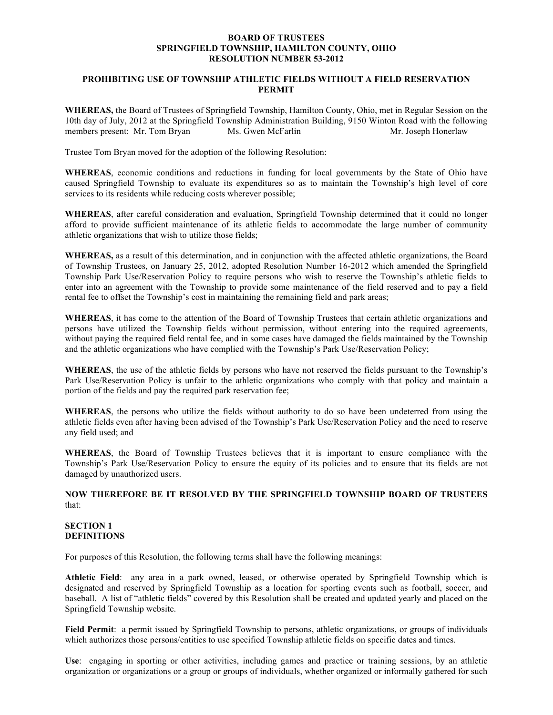#### **BOARD OF TRUSTEES SPRINGFIELD TOWNSHIP, HAMILTON COUNTY, OHIO RESOLUTION NUMBER 53-2012**

# **PROHIBITING USE OF TOWNSHIP ATHLETIC FIELDS WITHOUT A FIELD RESERVATION PERMIT**

**WHEREAS,** the Board of Trustees of Springfield Township, Hamilton County, Ohio, met in Regular Session on the 10th day of July, 2012 at the Springfield Township Administration Building, 9150 Winton Road with the following members present: Mr. Tom Bryan Ms. Gwen McFarlin Mr. Joseph Honerlaw

Trustee Tom Bryan moved for the adoption of the following Resolution:

**WHEREAS**, economic conditions and reductions in funding for local governments by the State of Ohio have caused Springfield Township to evaluate its expenditures so as to maintain the Township's high level of core services to its residents while reducing costs wherever possible;

**WHEREAS**, after careful consideration and evaluation, Springfield Township determined that it could no longer afford to provide sufficient maintenance of its athletic fields to accommodate the large number of community athletic organizations that wish to utilize those fields;

**WHEREAS,** as a result of this determination, and in conjunction with the affected athletic organizations, the Board of Township Trustees, on January 25, 2012, adopted Resolution Number 16-2012 which amended the Springfield Township Park Use/Reservation Policy to require persons who wish to reserve the Township's athletic fields to enter into an agreement with the Township to provide some maintenance of the field reserved and to pay a field rental fee to offset the Township's cost in maintaining the remaining field and park areas;

**WHEREAS**, it has come to the attention of the Board of Township Trustees that certain athletic organizations and persons have utilized the Township fields without permission, without entering into the required agreements, without paying the required field rental fee, and in some cases have damaged the fields maintained by the Township and the athletic organizations who have complied with the Township's Park Use/Reservation Policy;

**WHEREAS**, the use of the athletic fields by persons who have not reserved the fields pursuant to the Township's Park Use/Reservation Policy is unfair to the athletic organizations who comply with that policy and maintain a portion of the fields and pay the required park reservation fee;

**WHEREAS**, the persons who utilize the fields without authority to do so have been undeterred from using the athletic fields even after having been advised of the Township's Park Use/Reservation Policy and the need to reserve any field used; and

**WHEREAS**, the Board of Township Trustees believes that it is important to ensure compliance with the Township's Park Use/Reservation Policy to ensure the equity of its policies and to ensure that its fields are not damaged by unauthorized users.

## **NOW THEREFORE BE IT RESOLVED BY THE SPRINGFIELD TOWNSHIP BOARD OF TRUSTEES** that:

## **SECTION 1 DEFINITIONS**

For purposes of this Resolution, the following terms shall have the following meanings:

**Athletic Field**: any area in a park owned, leased, or otherwise operated by Springfield Township which is designated and reserved by Springfield Township as a location for sporting events such as football, soccer, and baseball. A list of "athletic fields" covered by this Resolution shall be created and updated yearly and placed on the Springfield Township website.

**Field Permit**: a permit issued by Springfield Township to persons, athletic organizations, or groups of individuals which authorizes those persons/entities to use specified Township athletic fields on specific dates and times.

**Use**: engaging in sporting or other activities, including games and practice or training sessions, by an athletic organization or organizations or a group or groups of individuals, whether organized or informally gathered for such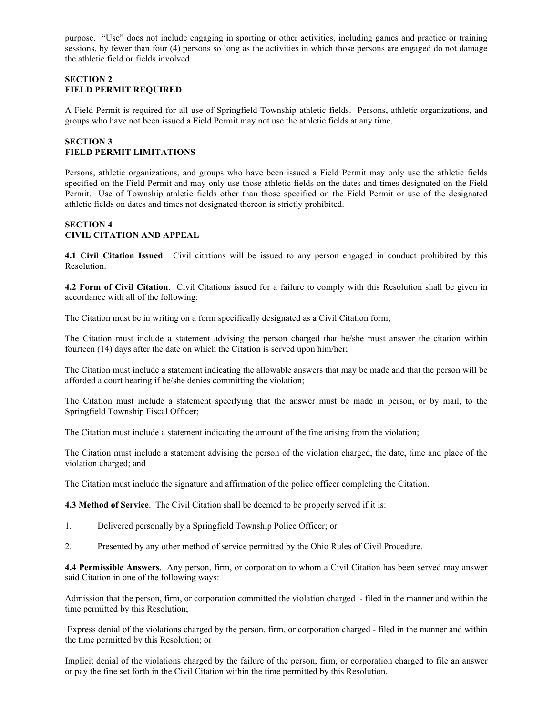purpose. "Use" does not include engaging in sporting or other activities, including games and practice or training sessions, by fewer than four (4) persons so long as the activities in which those persons are engaged do not damage the athletic field or fields involved.

#### **SECTION 2 FIELD PERMIT REQUIRED**

A Field Permit is required for all use of Springfield Township athletic fields. Persons, athletic organizations, and groups who have not been issued a Field Permit may not use the athletic fields at any time.

# **SECTION 3 FIELD PERMIT LIMITATIONS**

Persons, athletic organizations, and groups who have been issued a Field Permit may only use the athletic fields specified on the Field Permit and may only use those athletic fields on the dates and times designated on the Field Permit. Use of Township athletic fields other than those specified on the Field Permit or use of the designated athletic fields on dates and times not designated thereon is strictly prohibited.

# **SECTION 4 CIVIL CITATION AND APPEAL**

**4.1 Civil Citation Issued**. Civil citations will be issued to any person engaged in conduct prohibited by this Resolution.

**4.2 Form of Civil Citation**. Civil Citations issued for a failure to comply with this Resolution shall be given in accordance with all of the following:

The Citation must be in writing on a form specifically designated as a Civil Citation form;

The Citation must include a statement advising the person charged that he/she must answer the citation within fourteen (14) days after the date on which the Citation is served upon him/her;

The Citation must include a statement indicating the allowable answers that may be made and that the person will be afforded a court hearing if he/she denies committing the violation;

The Citation must include a statement specifying that the answer must be made in person, or by mail, to the Springfield Township Fiscal Officer;

The Citation must include a statement indicating the amount of the fine arising from the violation;

The Citation must include a statement advising the person of the violation charged, the date, time and place of the violation charged; and

The Citation must include the signature and affirmation of the police officer completing the Citation.

**4.3 Method of Service**. The Civil Citation shall be deemed to be properly served if it is:

- 1. Delivered personally by a Springfield Township Police Officer; or
- 2. Presented by any other method of service permitted by the Ohio Rules of Civil Procedure.

**4.4 Permissible Answers**. Any person, firm, or corporation to whom a Civil Citation has been served may answer said Citation in one of the following ways:

Admission that the person, firm, or corporation committed the violation charged - filed in the manner and within the time permitted by this Resolution;

 Express denial of the violations charged by the person, firm, or corporation charged - filed in the manner and within the time permitted by this Resolution; or

Implicit denial of the violations charged by the failure of the person, firm, or corporation charged to file an answer or pay the fine set forth in the Civil Citation within the time permitted by this Resolution.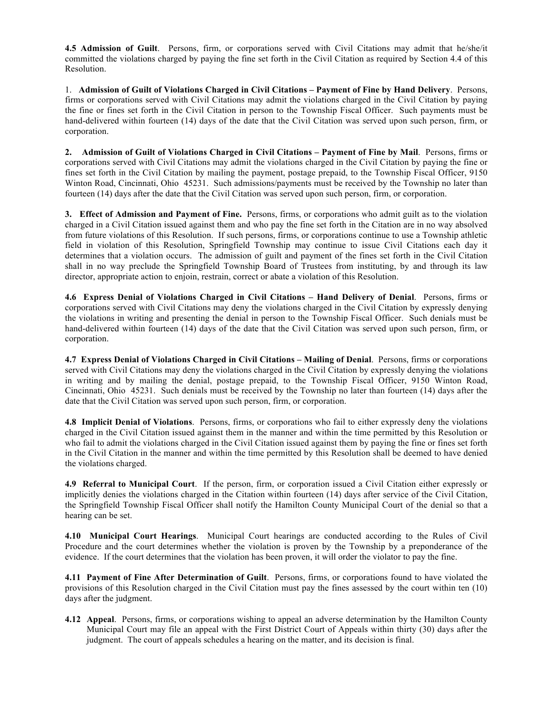**4.5 Admission of Guilt**. Persons, firm, or corporations served with Civil Citations may admit that he/she/it committed the violations charged by paying the fine set forth in the Civil Citation as required by Section 4.4 of this Resolution.

1. **Admission of Guilt of Violations Charged in Civil Citations – Payment of Fine by Hand Delivery**. Persons, firms or corporations served with Civil Citations may admit the violations charged in the Civil Citation by paying the fine or fines set forth in the Civil Citation in person to the Township Fiscal Officer. Such payments must be hand-delivered within fourteen (14) days of the date that the Civil Citation was served upon such person, firm, or corporation.

**2. Admission of Guilt of Violations Charged in Civil Citations – Payment of Fine by Mail**. Persons, firms or corporations served with Civil Citations may admit the violations charged in the Civil Citation by paying the fine or fines set forth in the Civil Citation by mailing the payment, postage prepaid, to the Township Fiscal Officer, 9150 Winton Road, Cincinnati, Ohio 45231. Such admissions/payments must be received by the Township no later than fourteen (14) days after the date that the Civil Citation was served upon such person, firm, or corporation.

**3. Effect of Admission and Payment of Fine.** Persons, firms, or corporations who admit guilt as to the violation charged in a Civil Citation issued against them and who pay the fine set forth in the Citation are in no way absolved from future violations of this Resolution. If such persons, firms, or corporations continue to use a Township athletic field in violation of this Resolution, Springfield Township may continue to issue Civil Citations each day it determines that a violation occurs. The admission of guilt and payment of the fines set forth in the Civil Citation shall in no way preclude the Springfield Township Board of Trustees from instituting, by and through its law director, appropriate action to enjoin, restrain, correct or abate a violation of this Resolution.

**4.6 Express Denial of Violations Charged in Civil Citations – Hand Delivery of Denial**. Persons, firms or corporations served with Civil Citations may deny the violations charged in the Civil Citation by expressly denying the violations in writing and presenting the denial in person to the Township Fiscal Officer. Such denials must be hand-delivered within fourteen (14) days of the date that the Civil Citation was served upon such person, firm, or corporation.

**4.7 Express Denial of Violations Charged in Civil Citations – Mailing of Denial**. Persons, firms or corporations served with Civil Citations may deny the violations charged in the Civil Citation by expressly denying the violations in writing and by mailing the denial, postage prepaid, to the Township Fiscal Officer, 9150 Winton Road, Cincinnati, Ohio 45231. Such denials must be received by the Township no later than fourteen (14) days after the date that the Civil Citation was served upon such person, firm, or corporation.

**4.8 Implicit Denial of Violations**. Persons, firms, or corporations who fail to either expressly deny the violations charged in the Civil Citation issued against them in the manner and within the time permitted by this Resolution or who fail to admit the violations charged in the Civil Citation issued against them by paying the fine or fines set forth in the Civil Citation in the manner and within the time permitted by this Resolution shall be deemed to have denied the violations charged.

**4.9 Referral to Municipal Court**. If the person, firm, or corporation issued a Civil Citation either expressly or implicitly denies the violations charged in the Citation within fourteen (14) days after service of the Civil Citation, the Springfield Township Fiscal Officer shall notify the Hamilton County Municipal Court of the denial so that a hearing can be set.

**4.10 Municipal Court Hearings**. Municipal Court hearings are conducted according to the Rules of Civil Procedure and the court determines whether the violation is proven by the Township by a preponderance of the evidence. If the court determines that the violation has been proven, it will order the violator to pay the fine.

**4.11 Payment of Fine After Determination of Guilt**. Persons, firms, or corporations found to have violated the provisions of this Resolution charged in the Civil Citation must pay the fines assessed by the court within ten (10) days after the judgment.

**4.12 Appeal**. Persons, firms, or corporations wishing to appeal an adverse determination by the Hamilton County Municipal Court may file an appeal with the First District Court of Appeals within thirty (30) days after the judgment. The court of appeals schedules a hearing on the matter, and its decision is final.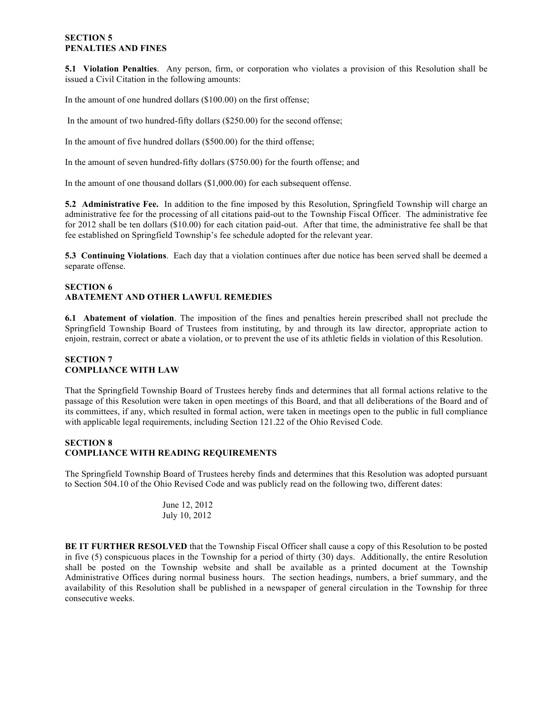## **SECTION 5 PENALTIES AND FINES**

**5.1 Violation Penalties**. Any person, firm, or corporation who violates a provision of this Resolution shall be issued a Civil Citation in the following amounts:

In the amount of one hundred dollars (\$100.00) on the first offense;

In the amount of two hundred-fifty dollars (\$250.00) for the second offense;

In the amount of five hundred dollars (\$500.00) for the third offense;

In the amount of seven hundred-fifty dollars (\$750.00) for the fourth offense; and

In the amount of one thousand dollars (\$1,000.00) for each subsequent offense.

**5.2 Administrative Fee.** In addition to the fine imposed by this Resolution, Springfield Township will charge an administrative fee for the processing of all citations paid-out to the Township Fiscal Officer. The administrative fee for 2012 shall be ten dollars (\$10.00) for each citation paid-out. After that time, the administrative fee shall be that fee established on Springfield Township's fee schedule adopted for the relevant year.

**5.3 Continuing Violations**. Each day that a violation continues after due notice has been served shall be deemed a separate offense.

# **SECTION 6 ABATEMENT AND OTHER LAWFUL REMEDIES**

**6.1 Abatement of violation**. The imposition of the fines and penalties herein prescribed shall not preclude the Springfield Township Board of Trustees from instituting, by and through its law director, appropriate action to enjoin, restrain, correct or abate a violation, or to prevent the use of its athletic fields in violation of this Resolution.

# **SECTION 7 COMPLIANCE WITH LAW**

That the Springfield Township Board of Trustees hereby finds and determines that all formal actions relative to the passage of this Resolution were taken in open meetings of this Board, and that all deliberations of the Board and of its committees, if any, which resulted in formal action, were taken in meetings open to the public in full compliance with applicable legal requirements, including Section 121.22 of the Ohio Revised Code.

#### **SECTION 8 COMPLIANCE WITH READING REQUIREMENTS**

The Springfield Township Board of Trustees hereby finds and determines that this Resolution was adopted pursuant to Section 504.10 of the Ohio Revised Code and was publicly read on the following two, different dates:

June 12, 2012 July 10, 2012

**BE IT FURTHER RESOLVED** that the Township Fiscal Officer shall cause a copy of this Resolution to be posted in five (5) conspicuous places in the Township for a period of thirty (30) days. Additionally, the entire Resolution shall be posted on the Township website and shall be available as a printed document at the Township Administrative Offices during normal business hours. The section headings, numbers, a brief summary, and the availability of this Resolution shall be published in a newspaper of general circulation in the Township for three consecutive weeks.